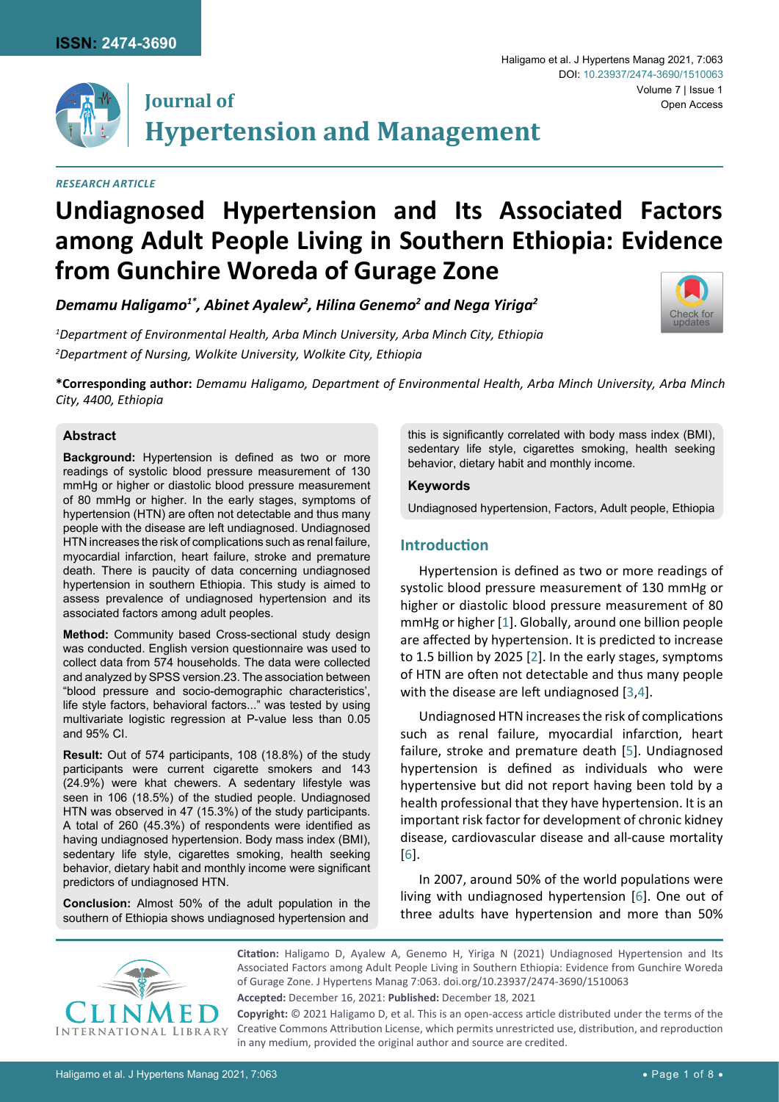

# **Journal of Hypertension and Management**

# *Research Article*

# **Undiagnosed Hypertension and Its Associated Factors among Adult People Living in Southern Ethiopia: Evidence from Gunchire Woreda of Gurage Zone**

*Demamu Haligamo1\*, Abinet Ayalew2 , Hilina Genemo2 and Nega Yiriga2*

*1 Department of Environmental Health, Arba Minch University, Arba Minch City, Ethiopia 2 Department of Nursing, Wolkite University, Wolkite City, Ethiopia*



Volume 7 | Issue 1

Open Access

**\*Corresponding author:** *Demamu Haligamo, Department of Environmental Health, Arba Minch University, Arba Minch City, 4400, Ethiopia*

#### **Abstract**

**Background:** Hypertension is defined as two or more readings of systolic blood pressure measurement of 130 mmHg or higher or diastolic blood pressure measurement of 80 mmHg or higher. In the early stages, symptoms of hypertension (HTN) are often not detectable and thus many people with the disease are left undiagnosed. Undiagnosed HTN increases the risk of complications such as renal failure, myocardial infarction, heart failure, stroke and premature death. There is paucity of data concerning undiagnosed hypertension in southern Ethiopia. This study is aimed to assess prevalence of undiagnosed hypertension and its associated factors among adult peoples.

**Method:** Community based Cross-sectional study design was conducted. English version questionnaire was used to collect data from 574 households. The data were collected and analyzed by SPSS version.23. The association between "blood pressure and socio-demographic characteristics', life style factors, behavioral factors..." was tested by using multivariate logistic regression at P-value less than 0.05 and 95% CI.

**Result:** Out of 574 participants, 108 (18.8%) of the study participants were current cigarette smokers and 143 (24.9%) were khat chewers. A sedentary lifestyle was seen in 106 (18.5%) of the studied people. Undiagnosed HTN was observed in 47 (15.3%) of the study participants. A total of 260 (45.3%) of respondents were identified as having undiagnosed hypertension. Body mass index (BMI), sedentary life style, cigarettes smoking, health seeking behavior, dietary habit and monthly income were significant predictors of undiagnosed HTN.

**Conclusion:** Almost 50% of the adult population in the southern of Ethiopia shows undiagnosed hypertension and

this is significantly correlated with body mass index (BMI), sedentary life style, cigarettes smoking, health seeking behavior, dietary habit and monthly income.

Haligamo et al. J Hypertens Manag 2021, 7:063

DOI: [10.23937/2474-3690/1510063](https://doi.org/10.23937/2474-3690/1510063)

#### **Keywords**

Undiagnosed hypertension, Factors, Adult people, Ethiopia

# **Introduction**

Hypertension is defined as two or more readings of systolic blood pressure measurement of 130 mmHg or higher or diastolic blood pressure measurement of 80 mmHg or higher [[1](#page-6-0)]. Globally, around one billion people are affected by hypertension. It is predicted to increase to 1.5 billion by 2025 [[2](#page-6-1)]. In the early stages, symptoms of HTN are often not detectable and thus many people with the disease are left undiagnosed [[3](#page-6-2)[,4](#page-6-3)].

Undiagnosed HTN increases the risk of complications such as renal failure, myocardial infarction, heart failure, stroke and premature death [[5](#page-6-4)]. Undiagnosed hypertension is defined as individuals who were hypertensive but did not report having been told by a health professional that they have hypertension. It is an important risk factor for development of chronic kidney disease, cardiovascular disease and all-cause mortality [[6](#page-6-5)].

In 2007, around 50% of the world populations were living with undiagnosed hypertension [[6](#page-6-5)]. One out of three adults have hypertension and more than 50%



**Citation:** Haligamo D, Ayalew A, Genemo H, Yiriga N (2021) Undiagnosed Hypertension and Its Associated Factors among Adult People Living in Southern Ethiopia: Evidence from Gunchire Woreda of Gurage Zone. J Hypertens Manag 7:063. [doi.org/10.23937/2474-3690/1510063](https://doi.org/10.23937/2474-3690/1510063)

**Accepted:** December 16, 2021: **Published:** December 18, 2021

**Copyright:** © 2021 Haligamo D, et al. This is an open-access article distributed under the terms of the Creative Commons Attribution License, which permits unrestricted use, distribution, and reproduction in any medium, provided the original author and source are credited.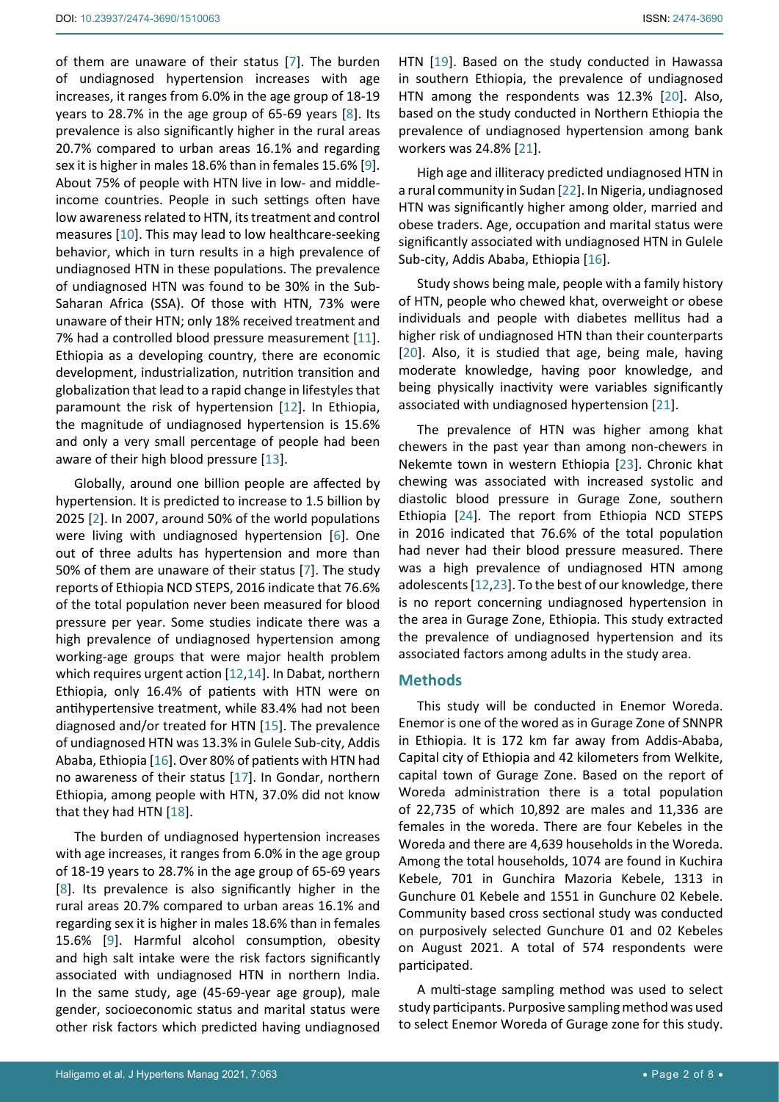of them are unaware of their status [[7\]](#page-6-6). The burden of undiagnosed hypertension increases with age increases, it ranges from 6.0% in the age group of 18-19 years to 28.7% in the age group of 65-69 years [[8](#page-6-7)]. Its prevalence is also significantly higher in the rural areas 20.7% compared to urban areas 16.1% and regarding sex it is higher in males 18.6% than in females 15.6% [[9](#page-6-8)]. About 75% of people with HTN live in low- and middleincome countries. People in such settings often have low awareness related to HTN, its treatment and control measures [[10\]](#page-6-9). This may lead to low healthcare-seeking behavior, which in turn results in a high prevalence of undiagnosed HTN in these populations. The prevalence of undiagnosed HTN was found to be 30% in the Sub-Saharan Africa (SSA). Of those with HTN, 73% were unaware of their HTN; only 18% received treatment and 7% had a controlled blood pressure measurement [\[11](#page-6-10)]. Ethiopia as a developing country, there are economic development, industrialization, nutrition transition and globalization that lead to a rapid change in lifestyles that paramount the risk of hypertension [[12\]](#page-6-11). In Ethiopia, the magnitude of undiagnosed hypertension is 15.6% and only a very small percentage of people had been aware of their high blood pressure [[13\]](#page-6-12).

Globally, around one billion people are affected by hypertension. It is predicted to increase to 1.5 billion by 2025 [[2](#page-6-1)]. In 2007, around 50% of the world populations were living with undiagnosed hypertension [[6\]](#page-6-5). One out of three adults has hypertension and more than 50% of them are unaware of their status [[7\]](#page-6-6). The study reports of Ethiopia NCD STEPS, 2016 indicate that 76.6% of the total population never been measured for blood pressure per year. Some studies indicate there was a high prevalence of undiagnosed hypertension among working-age groups that were major health problem which requires urgent action [[12](#page-6-11)[,14](#page-6-13)]. In Dabat, northern Ethiopia, only 16.4% of patients with HTN were on antihypertensive treatment, while 83.4% had not been diagnosed and/or treated for HTN [[15](#page-6-14)]. The prevalence of undiagnosed HTN was 13.3% in Gulele Sub-city, Addis Ababa, Ethiopia [[16](#page-6-15)]. Over 80% of patients with HTN had no awareness of their status [[17\]](#page-6-16). In Gondar, northern Ethiopia, among people with HTN, 37.0% did not know that they had HTN [\[18](#page-6-17)].

The burden of undiagnosed hypertension increases with age increases, it ranges from 6.0% in the age group of 18-19 years to 28.7% in the age group of 65-69 years [[8](#page-6-7)]. Its prevalence is also significantly higher in the rural areas 20.7% compared to urban areas 16.1% and regarding sex it is higher in males 18.6% than in females 15.6% [[9](#page-6-8)]. Harmful alcohol consumption, obesity and high salt intake were the risk factors significantly associated with undiagnosed HTN in northern India. In the same study, age (45-69-year age group), male gender, socioeconomic status and marital status were other risk factors which predicted having undiagnosed

HTN [[19\]](#page-6-18). Based on the study conducted in Hawassa in southern Ethiopia, the prevalence of undiagnosed HTN among the respondents was 12.3% [\[20](#page-6-19)]. Also, based on the study conducted in Northern Ethiopia the prevalence of undiagnosed hypertension among bank workers was 24.8% [\[21\]](#page-6-20).

High age and illiteracy predicted undiagnosed HTN in a rural community in Sudan [[22\]](#page-7-0). In Nigeria, undiagnosed HTN was significantly higher among older, married and obese traders. Age, occupation and marital status were significantly associated with undiagnosed HTN in Gulele Sub-city, Addis Ababa, Ethiopia [\[16](#page-6-15)].

Study shows being male, people with a family history of HTN, people who chewed khat, overweight or obese individuals and people with diabetes mellitus had a higher risk of undiagnosed HTN than their counterparts [\[20](#page-6-19)]. Also, it is studied that age, being male, having moderate knowledge, having poor knowledge, and being physically inactivity were variables significantly associated with undiagnosed hypertension [[21\]](#page-6-20).

The prevalence of HTN was higher among khat chewers in the past year than among non-chewers in Nekemte town in western Ethiopia [[23\]](#page-7-1). Chronic khat chewing was associated with increased systolic and diastolic blood pressure in Gurage Zone, southern Ethiopia [[24\]](#page-7-2). The report from Ethiopia NCD STEPS in 2016 indicated that 76.6% of the total population had never had their blood pressure measured. There was a high prevalence of undiagnosed HTN among adolescents [[12](#page-6-11),[23](#page-7-1)]. To the best of our knowledge, there is no report concerning undiagnosed hypertension in the area in Gurage Zone, Ethiopia. This study extracted the prevalence of undiagnosed hypertension and its associated factors among adults in the study area.

# **Methods**

This study will be conducted in Enemor Woreda. Enemor is one of the wored as in Gurage Zone of SNNPR in Ethiopia. It is 172 km far away from Addis-Ababa, Capital city of Ethiopia and 42 kilometers from Welkite, capital town of Gurage Zone. Based on the report of Woreda administration there is a total population of 22,735 of which 10,892 are males and 11,336 are females in the woreda. There are four Kebeles in the Woreda and there are 4,639 households in the Woreda. Among the total households, 1074 are found in Kuchira Kebele, 701 in Gunchira Mazoria Kebele, 1313 in Gunchure 01 Kebele and 1551 in Gunchure 02 Kebele. Community based cross sectional study was conducted on purposively selected Gunchure 01 and 02 Kebeles on August 2021. A total of 574 respondents were participated.

A multi-stage sampling method was used to select study participants. Purposive sampling method was used to select Enemor Woreda of Gurage zone for this study.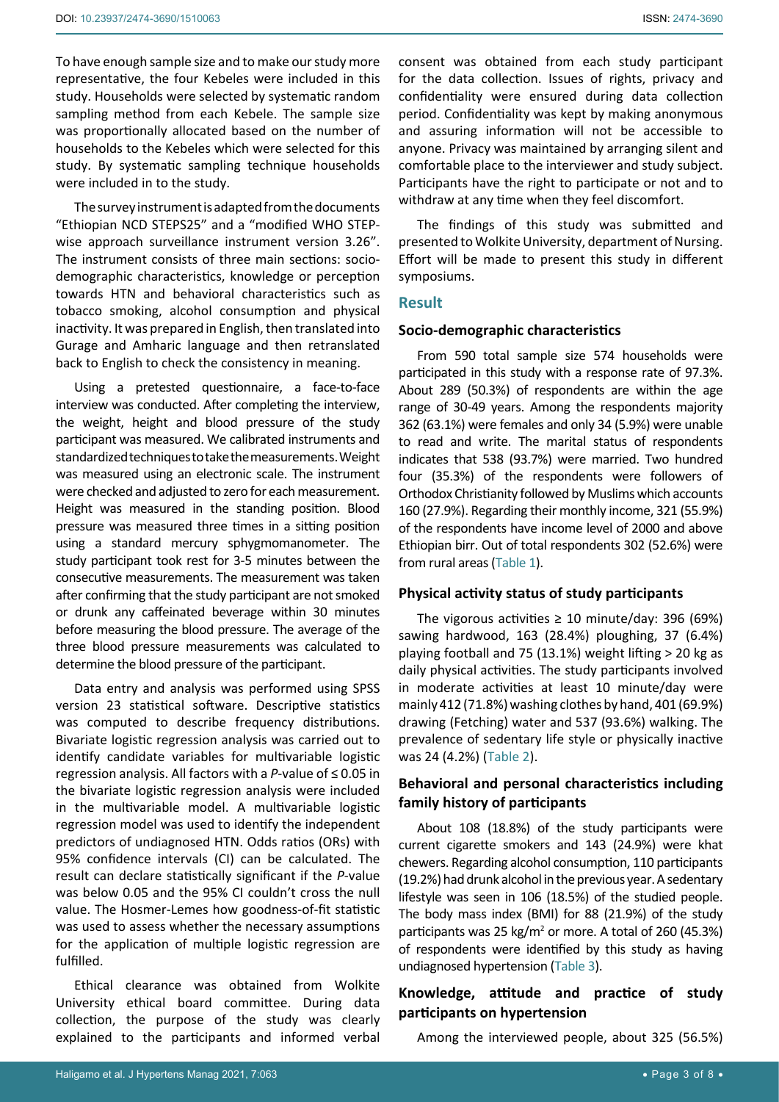To have enough sample size and to make our study more representative, the four Kebeles were included in this study. Households were selected by systematic random sampling method from each Kebele. The sample size was proportionally allocated based on the number of households to the Kebeles which were selected for this study. By systematic sampling technique households were included in to the study.

The survey instrument is adapted from the documents "Ethiopian NCD STEPS25" and a "modified WHO STEPwise approach surveillance instrument version 3.26". The instrument consists of three main sections: sociodemographic characteristics, knowledge or perception towards HTN and behavioral characteristics such as tobacco smoking, alcohol consumption and physical inactivity. It was prepared in English, then translated into Gurage and Amharic language and then retranslated back to English to check the consistency in meaning.

Using a pretested questionnaire, a face-to-face interview was conducted. After completing the interview, the weight, height and blood pressure of the study participant was measured. We calibrated instruments and standardized techniques to take the measurements. Weight was measured using an electronic scale. The instrument were checked and adjusted to zero for each measurement. Height was measured in the standing position. Blood pressure was measured three times in a sitting position using a standard mercury sphygmomanometer. The study participant took rest for 3-5 minutes between the consecutive measurements. The measurement was taken after confirming that the study participant are not smoked or drunk any caffeinated beverage within 30 minutes before measuring the blood pressure. The average of the three blood pressure measurements was calculated to determine the blood pressure of the participant.

Data entry and analysis was performed using SPSS version 23 statistical software. Descriptive statistics was computed to describe frequency distributions. Bivariate logistic regression analysis was carried out to identify candidate variables for multivariable logistic regression analysis. All factors with a *P*-value of ≤ 0.05 in the bivariate logistic regression analysis were included in the multivariable model. A multivariable logistic regression model was used to identify the independent predictors of undiagnosed HTN. Odds ratios (ORs) with 95% confidence intervals (CI) can be calculated. The result can declare statistically significant if the *P*-value was below 0.05 and the 95% CI couldn't cross the null value. The Hosmer-Lemes how goodness-of-fit statistic was used to assess whether the necessary assumptions for the application of multiple logistic regression are fulfilled.

Ethical clearance was obtained from Wolkite University ethical board committee. During data collection, the purpose of the study was clearly explained to the participants and informed verbal consent was obtained from each study participant for the data collection. Issues of rights, privacy and confidentiality were ensured during data collection period. Confidentiality was kept by making anonymous and assuring information will not be accessible to anyone. Privacy was maintained by arranging silent and comfortable place to the interviewer and study subject. Participants have the right to participate or not and to withdraw at any time when they feel discomfort.

The findings of this study was submitted and presented to Wolkite University, department of Nursing. Effort will be made to present this study in different symposiums.

# **Result**

# **Socio-demographic characteristics**

From 590 total sample size 574 households were participated in this study with a response rate of 97.3%. About 289 (50.3%) of respondents are within the age range of 30-49 years. Among the respondents majority 362 (63.1%) were females and only 34 (5.9%) were unable to read and write. The marital status of respondents indicates that 538 (93.7%) were married. Two hundred four (35.3%) of the respondents were followers of Orthodox Christianity followed by Muslims which accounts 160 (27.9%). Regarding their monthly income, 321 (55.9%) of the respondents have income level of 2000 and above Ethiopian birr. Out of total respondents 302 (52.6%) were from rural areas ([Table 1\)](#page-3-0).

#### **Physical activity status of study participants**

The vigorous activities  $\geq 10$  minute/day: 396 (69%) sawing hardwood, 163 (28.4%) ploughing, 37 (6.4%) playing football and 75 (13.1%) weight lifting > 20 kg as daily physical activities. The study participants involved in moderate activities at least 10 minute/day were mainly 412 (71.8%) washing clothes by hand, 401 (69.9%) drawing (Fetching) water and 537 (93.6%) walking. The prevalence of sedentary life style or physically inactive was 24 (4.2%) ([Table 2](#page-3-1)).

# **Behavioral and personal characteristics including family history of participants**

About 108 (18.8%) of the study participants were current cigarette smokers and 143 (24.9%) were khat chewers. Regarding alcohol consumption, 110 participants (19.2%) had drunk alcohol in the previous year. A sedentary lifestyle was seen in 106 (18.5%) of the studied people. The body mass index (BMI) for 88 (21.9%) of the study participants was 25 kg/m<sup>2</sup> or more. A total of 260 (45.3%) of respondents were identified by this study as having undiagnosed hypertension [\(Table 3\)](#page-3-2).

# **Knowledge, attitude and practice of study participants on hypertension**

Among the interviewed people, about 325 (56.5%)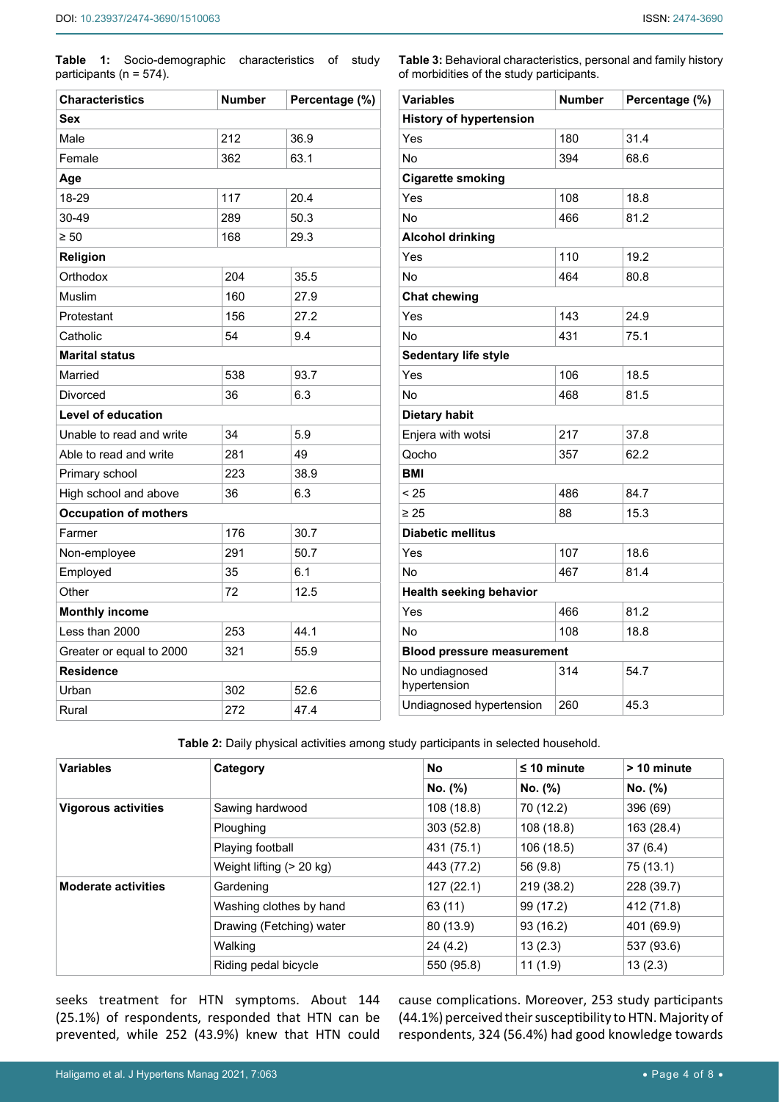<span id="page-3-0"></span>**Table 1:** Socio-demographic characteristics of study participants (n = 574).

| <b>Characteristics</b>       | <b>Number</b><br>Percentage (%) |      |  |  |
|------------------------------|---------------------------------|------|--|--|
| Sex                          |                                 |      |  |  |
| Male                         | 212                             | 36.9 |  |  |
| Female                       | 362                             | 63.1 |  |  |
| Age                          |                                 |      |  |  |
| 18-29                        | 117                             | 20.4 |  |  |
| 30-49                        | 289                             | 50.3 |  |  |
| $\geq 50$                    | 168                             | 29.3 |  |  |
| Religion                     |                                 |      |  |  |
| Orthodox                     | 204                             | 35.5 |  |  |
| Muslim                       | 160                             | 27.9 |  |  |
| Protestant                   | 156                             | 27.2 |  |  |
| Catholic                     | 54                              | 9.4  |  |  |
| <b>Marital status</b>        |                                 |      |  |  |
| Married                      | 538                             | 93.7 |  |  |
| Divorced                     | 36                              | 6.3  |  |  |
| <b>Level of education</b>    |                                 |      |  |  |
| Unable to read and write     | 34                              | 5.9  |  |  |
| Able to read and write       | 281                             | 49   |  |  |
| Primary school               | 223                             | 38.9 |  |  |
| High school and above        | 36                              | 6.3  |  |  |
| <b>Occupation of mothers</b> |                                 |      |  |  |
| Farmer                       | 176                             | 30.7 |  |  |
| Non-employee                 | 291                             | 50.7 |  |  |
| Employed                     | 35                              | 6.1  |  |  |
| Other                        | 72                              | 12.5 |  |  |
| <b>Monthly income</b>        |                                 |      |  |  |
| Less than 2000               | 253                             | 44.1 |  |  |
| Greater or equal to 2000     | 321                             | 55.9 |  |  |
| <b>Residence</b>             |                                 |      |  |  |
| Urban                        | 302                             | 52.6 |  |  |
| Rural                        | 272                             | 47.4 |  |  |

<span id="page-3-2"></span>**Table 3:** Behavioral characteristics, personal and family history of morbidities of the study participants.

| <b>Variables</b>                  | <b>Number</b> | Percentage (%) |  |  |
|-----------------------------------|---------------|----------------|--|--|
| <b>History of hypertension</b>    |               |                |  |  |
| Yes                               | 180           | 31.4           |  |  |
| No                                | 394           | 68.6           |  |  |
| <b>Cigarette smoking</b>          |               |                |  |  |
| Yes                               | 108           | 18.8           |  |  |
| No                                | 466           | 81.2           |  |  |
| <b>Alcohol drinking</b>           |               |                |  |  |
| Yes                               | 110           | 19.2           |  |  |
| No                                | 464           | 80.8           |  |  |
| <b>Chat chewing</b>               |               |                |  |  |
| Yes                               | 143           | 24.9           |  |  |
| No                                | 431           | 75.1           |  |  |
| Sedentary life style              |               |                |  |  |
| Yes                               | 106           | 18.5           |  |  |
| No                                | 468           | 81.5           |  |  |
| <b>Dietary habit</b>              |               |                |  |  |
| Enjera with wotsi                 | 217           | 37.8           |  |  |
| Qocho                             | 357           | 62.2           |  |  |
| <b>BMI</b>                        |               |                |  |  |
| < 25                              | 486           | 84.7           |  |  |
| $\geq 25$                         | 88            | 15.3           |  |  |
| <b>Diabetic mellitus</b>          |               |                |  |  |
| Yes                               | 107           | 18.6           |  |  |
| No                                | 467           | 81.4           |  |  |
| <b>Health seeking behavior</b>    |               |                |  |  |
| Yes                               | 466           | 81.2           |  |  |
| No                                | 108           | 18.8           |  |  |
| <b>Blood pressure measurement</b> |               |                |  |  |
| No undiagnosed<br>hypertension    | 314           | 54.7           |  |  |
| Undiagnosed hypertension          | 260           | 45.3           |  |  |

<span id="page-3-1"></span>**Table 2:** Daily physical activities among study participants in selected household.

| <b>Variables</b>           | Category                 | No         | $\leq$ 10 minute | > 10 minute |
|----------------------------|--------------------------|------------|------------------|-------------|
|                            |                          | No. (%)    | No. (%)          | No. (%)     |
| <b>Vigorous activities</b> | Sawing hardwood          | 108(18.8)  | 70 (12.2)        | 396 (69)    |
|                            | Ploughing                | 303(52.8)  | 108 (18.8)       | 163 (28.4)  |
|                            | Playing football         | 431 (75.1) | 106 (18.5)       | 37(6.4)     |
|                            | Weight lifting (> 20 kg) | 443 (77.2) | 56 (9.8)         | 75(13.1)    |
| <b>Moderate activities</b> | Gardening                | 127(22.1)  | 219 (38.2)       | 228 (39.7)  |
|                            | Washing clothes by hand  | 63(11)     | 99 (17.2)        | 412 (71.8)  |
|                            | Drawing (Fetching) water | 80 (13.9)  | 93(16.2)         | 401 (69.9)  |
|                            | Walking                  | 24(4.2)    | 13(2.3)          | 537 (93.6)  |
|                            | Riding pedal bicycle     | 550 (95.8) | 11(1.9)          | 13(2.3)     |

seeks treatment for HTN symptoms. About 144 (25.1%) of respondents, responded that HTN can be prevented, while 252 (43.9%) knew that HTN could cause complications. Moreover, 253 study participants (44.1%) perceived their susceptibility to HTN. Majority of respondents, 324 (56.4%) had good knowledge towards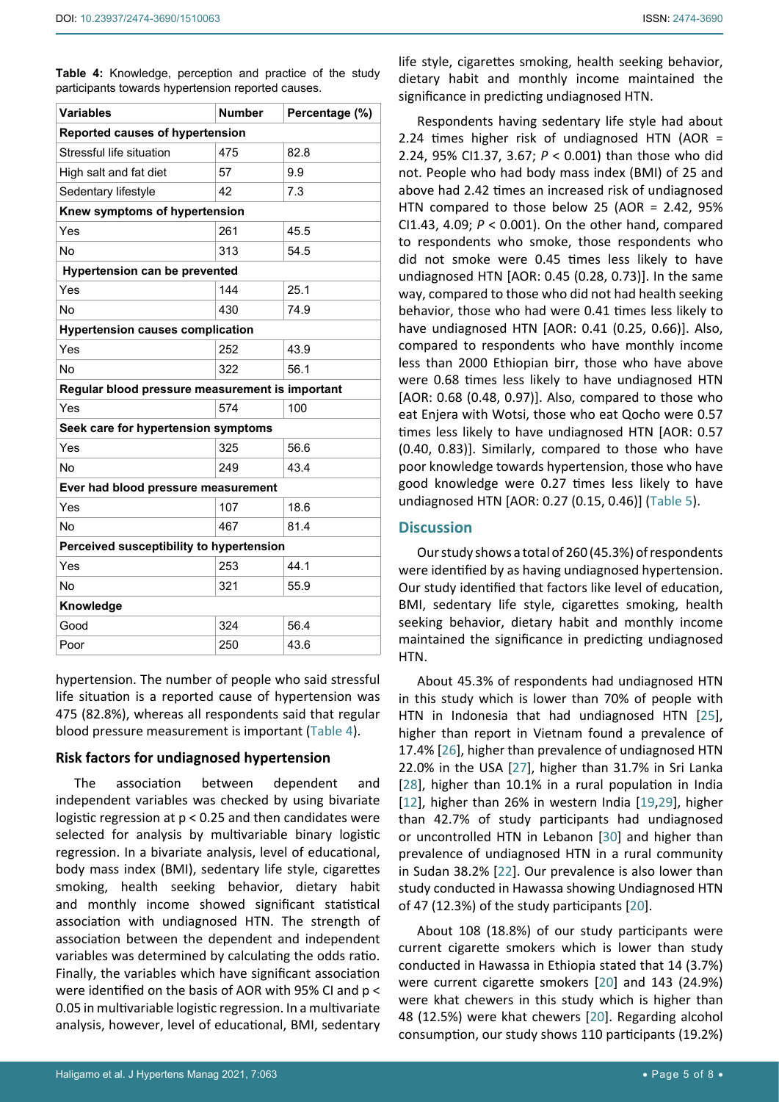<span id="page-4-0"></span>**Table 4:** Knowledge, perception and practice of the study participants towards hypertension reported causes.

| <b>Variables</b>                                | <b>Number</b> | Percentage (%) |  |  |
|-------------------------------------------------|---------------|----------------|--|--|
| Reported causes of hypertension                 |               |                |  |  |
| Stressful life situation                        | 475           | 82.8           |  |  |
| High salt and fat diet                          | 57            | 9.9            |  |  |
| Sedentary lifestyle                             | 42            | 7.3            |  |  |
| Knew symptoms of hypertension                   |               |                |  |  |
| Yes                                             | 261           | 45.5           |  |  |
| No                                              | 313           | 54.5           |  |  |
| <b>Hypertension can be prevented</b>            |               |                |  |  |
| Yes                                             | 144           | 25.1           |  |  |
| No                                              | 430           | 74.9           |  |  |
| <b>Hypertension causes complication</b>         |               |                |  |  |
| Yes                                             | 252           | 43.9           |  |  |
| No                                              | 322           | 56.1           |  |  |
| Regular blood pressure measurement is important |               |                |  |  |
| Yes                                             | 574           | 100            |  |  |
| Seek care for hypertension symptoms             |               |                |  |  |
| Yes                                             | 325           | 56.6           |  |  |
| No                                              | 249           | 43.4           |  |  |
| Ever had blood pressure measurement             |               |                |  |  |
| Yes                                             | 107           | 18.6           |  |  |
| No                                              | 467           | 81.4           |  |  |
| Perceived susceptibility to hypertension        |               |                |  |  |
| Yes                                             | 253           | 44.1           |  |  |
| No                                              | 321           | 55.9           |  |  |
| Knowledge                                       |               |                |  |  |
| Good                                            | 324           | 56.4           |  |  |
| Poor                                            | 250           | 43.6           |  |  |

hypertension. The number of people who said stressful life situation is a reported cause of hypertension was 475 (82.8%), whereas all respondents said that regular blood pressure measurement is important [\(Table 4\)](#page-4-0).

#### **Risk factors for undiagnosed hypertension**

The association between dependent and independent variables was checked by using bivariate logistic regression at p < 0.25 and then candidates were selected for analysis by multivariable binary logistic regression. In a bivariate analysis, level of educational, body mass index (BMI), sedentary life style, cigarettes smoking, health seeking behavior, dietary habit and monthly income showed significant statistical association with undiagnosed HTN. The strength of association between the dependent and independent variables was determined by calculating the odds ratio. Finally, the variables which have significant association were identified on the basis of AOR with 95% CI and p < 0.05 in multivariable logistic regression. In a multivariate analysis, however, level of educational, BMI, sedentary

life style, cigarettes smoking, health seeking behavior, dietary habit and monthly income maintained the significance in predicting undiagnosed HTN.

Respondents having sedentary life style had about 2.24 times higher risk of undiagnosed HTN (AOR = 2.24, 95% CI1.37, 3.67; *P* < 0.001) than those who did not. People who had body mass index (BMI) of 25 and above had 2.42 times an increased risk of undiagnosed HTN compared to those below 25 (AOR = 2.42, 95% CI1.43, 4.09; *P* < 0.001). On the other hand, compared to respondents who smoke, those respondents who did not smoke were 0.45 times less likely to have undiagnosed HTN [AOR: 0.45 (0.28, 0.73)]. In the same way, compared to those who did not had health seeking behavior, those who had were 0.41 times less likely to have undiagnosed HTN [AOR: 0.41 (0.25, 0.66)]. Also, compared to respondents who have monthly income less than 2000 Ethiopian birr, those who have above were 0.68 times less likely to have undiagnosed HTN [AOR: 0.68 (0.48, 0.97)]. Also, compared to those who eat Enjera with Wotsi, those who eat Qocho were 0.57 times less likely to have undiagnosed HTN [AOR: 0.57 (0.40, 0.83)]. Similarly, compared to those who have poor knowledge towards hypertension, those who have good knowledge were 0.27 times less likely to have undiagnosed HTN [AOR: 0.27 (0.15, 0.46)] ([Table 5](#page-5-0)).

# **Discussion**

Our study shows a total of 260 (45.3%) of respondents were identified by as having undiagnosed hypertension. Our study identified that factors like level of education, BMI, sedentary life style, cigarettes smoking, health seeking behavior, dietary habit and monthly income maintained the significance in predicting undiagnosed HTN.

About 45.3% of respondents had undiagnosed HTN in this study which is lower than 70% of people with HTN in Indonesia that had undiagnosed HTN [\[25\]](#page-7-3), higher than report in Vietnam found a prevalence of 17.4% [[26\]](#page-7-4), higher than prevalence of undiagnosed HTN 22.0% in the USA [[27\]](#page-7-5), higher than 31.7% in Sri Lanka [\[28](#page-7-6)], higher than 10.1% in a rural population in India [\[12](#page-6-11)], higher than 26% in western India [\[19,](#page-6-18)[29](#page-7-7)], higher than 42.7% of study participants had undiagnosed or uncontrolled HTN in Lebanon [[30\]](#page-7-8) and higher than prevalence of undiagnosed HTN in a rural community in Sudan 38.2% [\[22\]](#page-7-0). Our prevalence is also lower than study conducted in Hawassa showing Undiagnosed HTN of 47 (12.3%) of the study participants [[20\]](#page-6-19).

About 108 (18.8%) of our study participants were current cigarette smokers which is lower than study conducted in Hawassa in Ethiopia stated that 14 (3.7%) were current cigarette smokers [[20\]](#page-6-19) and 143 (24.9%) were khat chewers in this study which is higher than 48 (12.5%) were khat chewers [[20](#page-6-19)]. Regarding alcohol consumption, our study shows 110 participants (19.2%)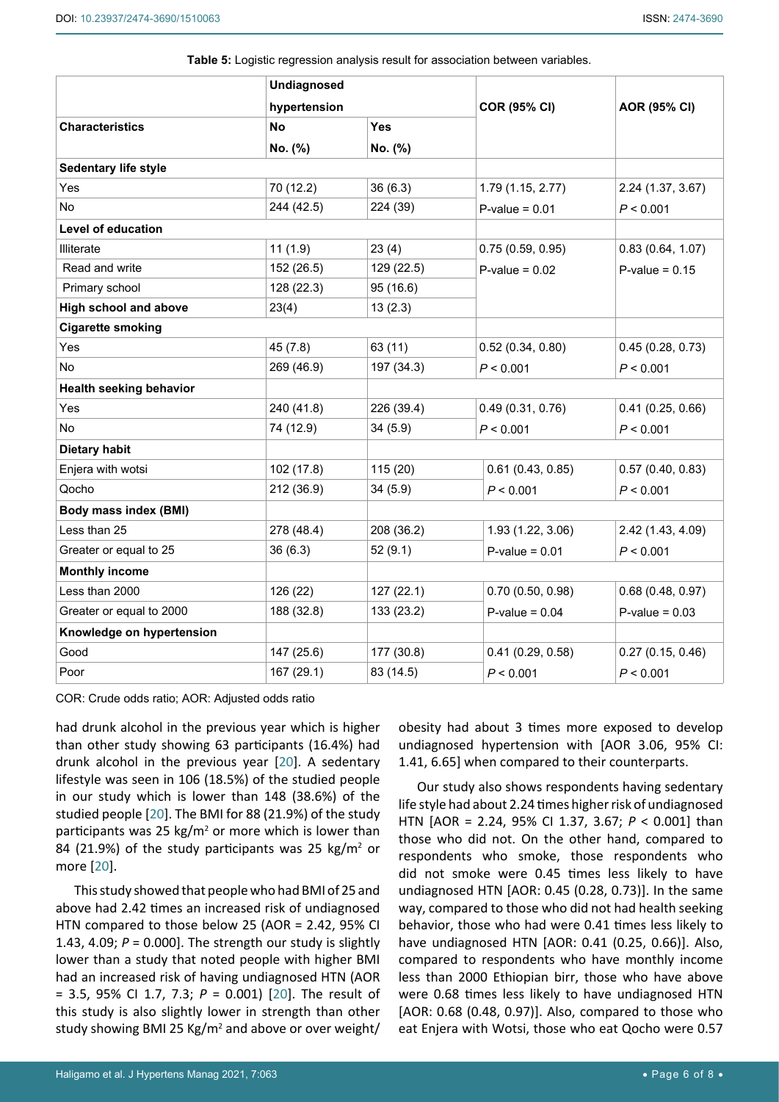<span id="page-5-0"></span>

| Table 5: Logistic regression analysis result for association between variables. |
|---------------------------------------------------------------------------------|
|---------------------------------------------------------------------------------|

|                                | <b>Undiagnosed</b><br>hypertension |            | <b>COR (95% CI)</b> |                   |  |
|--------------------------------|------------------------------------|------------|---------------------|-------------------|--|
|                                |                                    |            |                     | AOR (95% CI)      |  |
| <b>Characteristics</b>         | <b>No</b>                          | <b>Yes</b> |                     |                   |  |
|                                | No. (%)                            | No. (%)    |                     |                   |  |
| Sedentary life style           |                                    |            |                     |                   |  |
| Yes                            | 70 (12.2)                          | 36(6.3)    | 1.79 (1.15, 2.77)   | 2.24 (1.37, 3.67) |  |
| No                             | 244 (42.5)                         | 224 (39)   | $P-value = 0.01$    | P < 0.001         |  |
| <b>Level of education</b>      |                                    |            |                     |                   |  |
| Illiterate                     | 11(1.9)                            | 23(4)      | 0.75(0.59, 0.95)    | 0.83(0.64, 1.07)  |  |
| Read and write                 | 152 (26.5)                         | 129 (22.5) | $P-value = 0.02$    | $P-value = 0.15$  |  |
| Primary school                 | 128 (22.3)                         | 95 (16.6)  |                     |                   |  |
| <b>High school and above</b>   | 23(4)                              | 13(2.3)    |                     |                   |  |
| <b>Cigarette smoking</b>       |                                    |            |                     |                   |  |
| Yes                            | 45 (7.8)                           | 63 (11)    | 0.52(0.34, 0.80)    | 0.45(0.28, 0.73)  |  |
| No                             | 269 (46.9)                         | 197 (34.3) | P < 0.001           | P < 0.001         |  |
| <b>Health seeking behavior</b> |                                    |            |                     |                   |  |
| Yes                            | 240 (41.8)                         | 226 (39.4) | 0.49(0.31, 0.76)    | 0.41(0.25, 0.66)  |  |
| <b>No</b>                      | 74 (12.9)                          | 34(5.9)    | P < 0.001           | P < 0.001         |  |
| <b>Dietary habit</b>           |                                    |            |                     |                   |  |
| Enjera with wotsi              | 102 (17.8)                         | 115(20)    | 0.61(0.43, 0.85)    | 0.57(0.40, 0.83)  |  |
| Qocho                          | 212 (36.9)                         | 34(5.9)    | P < 0.001           | P < 0.001         |  |
| <b>Body mass index (BMI)</b>   |                                    |            |                     |                   |  |
| Less than 25                   | 278 (48.4)                         | 208 (36.2) | 1.93 (1.22, 3.06)   | 2.42 (1.43, 4.09) |  |
| Greater or equal to 25         | 36(6.3)                            | 52(9.1)    | $P-value = 0.01$    | P < 0.001         |  |
| <b>Monthly income</b>          |                                    |            |                     |                   |  |
| Less than 2000                 | 126 (22)                           | 127(22.1)  | 0.70(0.50, 0.98)    | 0.68(0.48, 0.97)  |  |
| Greater or equal to 2000       | 188 (32.8)                         | 133 (23.2) | $P$ -value = $0.04$ | $P-value = 0.03$  |  |
| Knowledge on hypertension      |                                    |            |                     |                   |  |
| Good                           | 147 (25.6)                         | 177 (30.8) | 0.41(0.29, 0.58)    | 0.27(0.15, 0.46)  |  |
| Poor                           | 167 (29.1)                         | 83 (14.5)  | P < 0.001           | P < 0.001         |  |

COR: Crude odds ratio; AOR: Adjusted odds ratio

had drunk alcohol in the previous year which is higher than other study showing 63 participants (16.4%) had drunk alcohol in the previous year [\[20](#page-6-19)]. A sedentary lifestyle was seen in 106 (18.5%) of the studied people in our study which is lower than 148 (38.6%) of the studied people [\[20\]](#page-6-19). The BMI for 88 (21.9%) of the study participants was 25  $kg/m^2$  or more which is lower than 84 (21.9%) of the study participants was 25 kg/m<sup>2</sup> or more [\[20](#page-6-19)].

This study showed that people who had BMI of 25 and above had 2.42 times an increased risk of undiagnosed HTN compared to those below 25 (AOR = 2.42, 95% CI 1.43, 4.09; *P* = 0.000]. The strength our study is slightly lower than a study that noted people with higher BMI had an increased risk of having undiagnosed HTN (AOR = 3.5, 95% CI 1.7, 7.3; *P* = 0.001) [[20\]](#page-6-19). The result of this study is also slightly lower in strength than other study showing BMI 25 Kg/m<sup>2</sup> and above or over weight/

obesity had about 3 times more exposed to develop undiagnosed hypertension with [AOR 3.06, 95% CI: 1.41, 6.65] when compared to their counterparts.

Our study also shows respondents having sedentary life style had about 2.24 times higher risk of undiagnosed HTN [AOR = 2.24, 95% CI 1.37, 3.67; *P* < 0.001] than those who did not. On the other hand, compared to respondents who smoke, those respondents who did not smoke were 0.45 times less likely to have undiagnosed HTN [AOR: 0.45 (0.28, 0.73)]. In the same way, compared to those who did not had health seeking behavior, those who had were 0.41 times less likely to have undiagnosed HTN [AOR: 0.41 (0.25, 0.66)]. Also, compared to respondents who have monthly income less than 2000 Ethiopian birr, those who have above were 0.68 times less likely to have undiagnosed HTN [AOR: 0.68 (0.48, 0.97)]. Also, compared to those who eat Enjera with Wotsi, those who eat Qocho were 0.57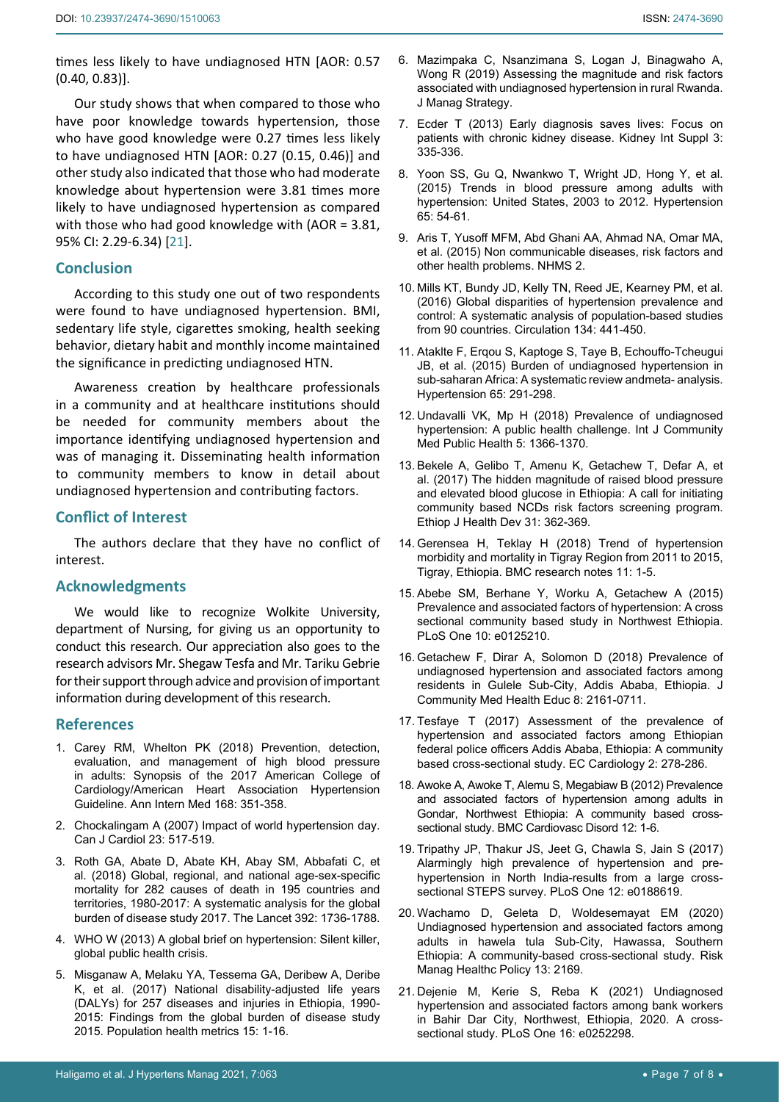times less likely to have undiagnosed HTN [AOR: 0.57 (0.40, 0.83)].

Our study shows that when compared to those who have poor knowledge towards hypertension, those who have good knowledge were 0.27 times less likely to have undiagnosed HTN [AOR: 0.27 (0.15, 0.46)] and other study also indicated that those who had moderate knowledge about hypertension were 3.81 times more likely to have undiagnosed hypertension as compared with those who had good knowledge with (AOR = 3.81, 95% CI: 2.29-6.34) [[21\]](#page-6-20).

# **Conclusion**

According to this study one out of two respondents were found to have undiagnosed hypertension. BMI, sedentary life style, cigarettes smoking, health seeking behavior, dietary habit and monthly income maintained the significance in predicting undiagnosed HTN.

Awareness creation by healthcare professionals in a community and at healthcare institutions should be needed for community members about the importance identifying undiagnosed hypertension and was of managing it. Disseminating health information to community members to know in detail about undiagnosed hypertension and contributing factors.

# **Conflict of Interest**

The authors declare that they have no conflict of interest.

#### **Acknowledgments**

We would like to recognize Wolkite University, department of Nursing, for giving us an opportunity to conduct this research. Our appreciation also goes to the research advisors Mr. Shegaw Tesfa and Mr. Tariku Gebrie for their support through advice and provision of important information during development of this research.

# **References**

- <span id="page-6-0"></span>1. [Carey RM, Whelton PK \(2018\) Prevention, detection,](https://pubmed.ncbi.nlm.nih.gov/29357392/)  [evaluation, and management of high](https://pubmed.ncbi.nlm.nih.gov/29357392/) blood pressure [in adults: Synopsis of the 2017 American College of](https://pubmed.ncbi.nlm.nih.gov/29357392/)  [Cardiology/American Heart Association Hypertension](https://pubmed.ncbi.nlm.nih.gov/29357392/)  [Guideline. Ann Intern Med 168: 351-358.](https://pubmed.ncbi.nlm.nih.gov/29357392/)
- <span id="page-6-1"></span>2. [Chockalingam A \(2007\) Impact of world hypertension day.](https://www.ncbi.nlm.nih.gov/labs/pmc/articles/PMC2650754/)  [Can J Cardiol 23: 517-519.](https://www.ncbi.nlm.nih.gov/labs/pmc/articles/PMC2650754/)
- <span id="page-6-2"></span>3. [Roth GA, Abate D, Abate KH, Abay SM, Abbafati C, et](https://www.thelancet.com/journals/lancet/article/PIIS0140-6736(18)32203-7/fulltext)  [al. \(2018\) Global, regional, and national age-sex-specific](https://www.thelancet.com/journals/lancet/article/PIIS0140-6736(18)32203-7/fulltext)  [mortality for 282 causes of death in 195 countries and](https://www.thelancet.com/journals/lancet/article/PIIS0140-6736(18)32203-7/fulltext)  [territories, 1980-2017: A systematic analysis for the](https://www.thelancet.com/journals/lancet/article/PIIS0140-6736(18)32203-7/fulltext) global [burden of disease study 2017. The Lancet 392: 1736-1788.](https://www.thelancet.com/journals/lancet/article/PIIS0140-6736(18)32203-7/fulltext)
- <span id="page-6-3"></span>4. [WHO W \(2013\) A global brief on hypertension: Silent killer,](https://www.who.int/publications/i/item/a-global-brief-on-hypertension-silent-killer-global-public-health-crisis-world-health-day-2013)  [global public health crisis.](https://www.who.int/publications/i/item/a-global-brief-on-hypertension-silent-killer-global-public-health-crisis-world-health-day-2013)
- <span id="page-6-4"></span>5. [Misganaw A, Melaku YA, Tessema GA, Deribew A, Deribe](https://portal.sahmriresearch.org/en/publications/national-disability-adjusted-life-years-dalys-for-257-diseases-an)  [K, et al. \(2017\) National disability-adjusted life years](https://portal.sahmriresearch.org/en/publications/national-disability-adjusted-life-years-dalys-for-257-diseases-an)  [\(DALYs\) for 257 diseases and injuries in Ethiopia, 1990-](https://portal.sahmriresearch.org/en/publications/national-disability-adjusted-life-years-dalys-for-257-diseases-an) [2015: Findings from the global burden of disease study](https://portal.sahmriresearch.org/en/publications/national-disability-adjusted-life-years-dalys-for-257-diseases-an)  [2015. Population health metrics 15: 1-16.](https://portal.sahmriresearch.org/en/publications/national-disability-adjusted-life-years-dalys-for-257-diseases-an)
- <span id="page-6-5"></span>6. [Mazimpaka C, Nsanzimana S, Logan J, Binagwaho A,](https://www.sciedu.ca/journal/index.php/jms/article/view/15182/9414)  [Wong R \(2019\) Assessing the magnitude and risk factors](https://www.sciedu.ca/journal/index.php/jms/article/view/15182/9414)  [associated with undiagnosed hypertension in rural Rwanda.](https://www.sciedu.ca/journal/index.php/jms/article/view/15182/9414)  [J Manag Strategy](https://www.sciedu.ca/journal/index.php/jms/article/view/15182/9414).
- <span id="page-6-6"></span>7. [Ecder T \(2013\) Early diagnosis saves lives: Focus](https://pubmed.ncbi.nlm.nih.gov/25019015/) on [patients with chronic kidney disease. Kidney Int Suppl 3:](https://pubmed.ncbi.nlm.nih.gov/25019015/)  [335-336.](https://pubmed.ncbi.nlm.nih.gov/25019015/)
- <span id="page-6-7"></span>8. [Yoon SS, Gu Q, Nwankwo T, Wright JD, Hong Y, et al.](https://pubmed.ncbi.nlm.nih.gov/25399687/)  [\(2015\) Trends in blood pressure among adults with](https://pubmed.ncbi.nlm.nih.gov/25399687/)  [hypertension: United States, 2003 to 2012. Hypertension](https://pubmed.ncbi.nlm.nih.gov/25399687/)  [65: 54-61.](https://pubmed.ncbi.nlm.nih.gov/25399687/)
- <span id="page-6-8"></span>9. [Aris T, Yusoff MFM, Abd Ghani AA, Ahmad NA, Omar MA,](https://www.moh.gov.my/moh/resources/nhmsreport2015vol2.pdf)  [et al. \(2015\) Non communicable diseases, risk factors and](https://www.moh.gov.my/moh/resources/nhmsreport2015vol2.pdf)  [other health problems. NHMS 2.](https://www.moh.gov.my/moh/resources/nhmsreport2015vol2.pdf)
- <span id="page-6-9"></span>10. [Mills KT, Bundy JD, Kelly TN, Reed JE, Kearney PM, et al.](https://www.ncbi.nlm.nih.gov/labs/pmc/articles/PMC4979614/)  [\(2016\) Global disparities of hypertension](https://www.ncbi.nlm.nih.gov/labs/pmc/articles/PMC4979614/) prevalence and [control: A systematic analysis of population-based studies](https://www.ncbi.nlm.nih.gov/labs/pmc/articles/PMC4979614/)  [from 90 countries. Circulation 134: 441-450.](https://www.ncbi.nlm.nih.gov/labs/pmc/articles/PMC4979614/)
- <span id="page-6-10"></span>11. [Ataklte F, Erqou S, Kaptoge S, Taye B, Echouffo-Tcheugui](https://pubmed.ncbi.nlm.nih.gov/25385758/)  [JB, et al. \(2015\) Burden of undiagnosed hypertension in](https://pubmed.ncbi.nlm.nih.gov/25385758/)  [sub-saharan Africa: A systematic review andmeta- analysis.](https://pubmed.ncbi.nlm.nih.gov/25385758/)  [Hypertension 65: 291-298.](https://pubmed.ncbi.nlm.nih.gov/25385758/)
- <span id="page-6-11"></span>12. [Undavalli VK, Mp H \(2018\) Prevalence of undiagnosed](https://www.ijcmph.com/index.php/ijcmph/article/view/2823)  [hypertension: A public health challenge. Int J Community](https://www.ijcmph.com/index.php/ijcmph/article/view/2823)  [Med Public Health 5: 1366-1370.](https://www.ijcmph.com/index.php/ijcmph/article/view/2823)
- <span id="page-6-12"></span>13. [Bekele A, Gelibo T, Amenu K, Getachew T, Defar A, et](https://www.ajol.info/index.php/ejhd/article/view/167836)  [al. \(2017\) The hidden magnitude of raised blood pressure](https://www.ajol.info/index.php/ejhd/article/view/167836)  [and elevated blood glucose in Ethiopia: A call for initiating](https://www.ajol.info/index.php/ejhd/article/view/167836)  [community based NCDs risk factors screening program.](https://www.ajol.info/index.php/ejhd/article/view/167836)  [Ethiop J Health Dev](https://www.ajol.info/index.php/ejhd/article/view/167836) 31: 362-369.
- <span id="page-6-13"></span>14. [Gerensea H, Teklay H \(2018\) Trend of hypertension](https://bmcresnotes.biomedcentral.com/articles/10.1186/s13104-018-3488-1)  [morbidity and mortality in Tigray Region from 2011 to 2015,](https://bmcresnotes.biomedcentral.com/articles/10.1186/s13104-018-3488-1)  [Tigray, Ethiopia. BMC research notes 11: 1-5.](https://bmcresnotes.biomedcentral.com/articles/10.1186/s13104-018-3488-1)
- <span id="page-6-14"></span>15. [Abebe SM, Berhane Y, Worku A, Getachew A \(2015\)](https://www.ncbi.nlm.nih.gov/labs/pmc/articles/PMC4409323/)  [Prevalence and associated factors of hypertension: A cross](https://www.ncbi.nlm.nih.gov/labs/pmc/articles/PMC4409323/)  [sectional community based study in Northwest Ethiopia.](https://www.ncbi.nlm.nih.gov/labs/pmc/articles/PMC4409323/)  [PLoS One 10: e0125210.](https://www.ncbi.nlm.nih.gov/labs/pmc/articles/PMC4409323/)
- <span id="page-6-15"></span>16. [Getachew F, Dirar A, Solomon D \(2018\) Prevalence of](https://www.omicsonline.org/peer-reviewed/prevalence-of-undiagnosed-hypertension-and-associated-factors-among-residents-in-gulele-subcity-addis-ababa-ethiopiap-99071.html)  [undiagnosed hypertension and associated factors among](https://www.omicsonline.org/peer-reviewed/prevalence-of-undiagnosed-hypertension-and-associated-factors-among-residents-in-gulele-subcity-addis-ababa-ethiopiap-99071.html)  residents in Gulele [Sub-City, Addis Ababa, Ethiopia. J](https://www.omicsonline.org/peer-reviewed/prevalence-of-undiagnosed-hypertension-and-associated-factors-among-residents-in-gulele-subcity-addis-ababa-ethiopiap-99071.html)  [Community Med Health Educ 8: 2161-0711.](https://www.omicsonline.org/peer-reviewed/prevalence-of-undiagnosed-hypertension-and-associated-factors-among-residents-in-gulele-subcity-addis-ababa-ethiopiap-99071.html)
- <span id="page-6-16"></span>17. Tesfaye T (2017) Assessment of the prevalence of hypertension and associated factors among Ethiopian federal police officers Addis Ababa, Ethiopia: A community based cross-sectional study. EC Cardiology 2: 278-286.
- <span id="page-6-17"></span>18. [Awoke A, Awoke T, Alemu S, Megabiaw B \(2012\) Prevalence](https://pubmed.ncbi.nlm.nih.gov/23186560/)  [and associated factors of hypertension among adults in](https://pubmed.ncbi.nlm.nih.gov/23186560/)  [Gondar, Northwest Ethiopia: A community based cross](https://pubmed.ncbi.nlm.nih.gov/23186560/)sectional study. [BMC Cardiovasc Disord](https://pubmed.ncbi.nlm.nih.gov/23186560/) 12: 1-6.
- <span id="page-6-18"></span>19. [Tripathy JP, Thakur JS, Jeet G, Chawla S, Jain S \(2017\)](https://pubmed.ncbi.nlm.nih.gov/29267338/)  [Alarmingly high prevalence of hypertension and pre](https://pubmed.ncbi.nlm.nih.gov/29267338/)[hypertension in North India-results from a large cross](https://pubmed.ncbi.nlm.nih.gov/29267338/)[sectional STEPS survey. PLoS One 12: e0188619.](https://pubmed.ncbi.nlm.nih.gov/29267338/)
- <span id="page-6-19"></span>20. [Wachamo D, Geleta D, Woldesemayat EM \(2020\)](https://www.dovepress.com/undiagnosed-hypertension-and-associated-factors-among-adults-in-hawela-peer-reviewed-fulltext-article-RMHP)  [Undiagnosed hypertension and associated factors among](https://www.dovepress.com/undiagnosed-hypertension-and-associated-factors-among-adults-in-hawela-peer-reviewed-fulltext-article-RMHP)  [adults in hawela tula Sub-City, Hawassa, Southern](https://www.dovepress.com/undiagnosed-hypertension-and-associated-factors-among-adults-in-hawela-peer-reviewed-fulltext-article-RMHP)  [Ethiopia: A community-based cross-sectional study. Risk](https://www.dovepress.com/undiagnosed-hypertension-and-associated-factors-among-adults-in-hawela-peer-reviewed-fulltext-article-RMHP)  [Manag Healthc Policy](https://www.dovepress.com/undiagnosed-hypertension-and-associated-factors-among-adults-in-hawela-peer-reviewed-fulltext-article-RMHP) 13: 2169.
- <span id="page-6-20"></span>21. [Dejenie M, Kerie S, Reba K \(2021\) Undiagnosed](https://pubmed.ncbi.nlm.nih.gov/34043717/)  [hypertension and associated factors among bank workers](https://pubmed.ncbi.nlm.nih.gov/34043717/)  [in Bahir Dar City, Northwest, Ethiopia, 2020. A cross](https://pubmed.ncbi.nlm.nih.gov/34043717/)[sectional study. PLoS One 16: e0252298.](https://pubmed.ncbi.nlm.nih.gov/34043717/)